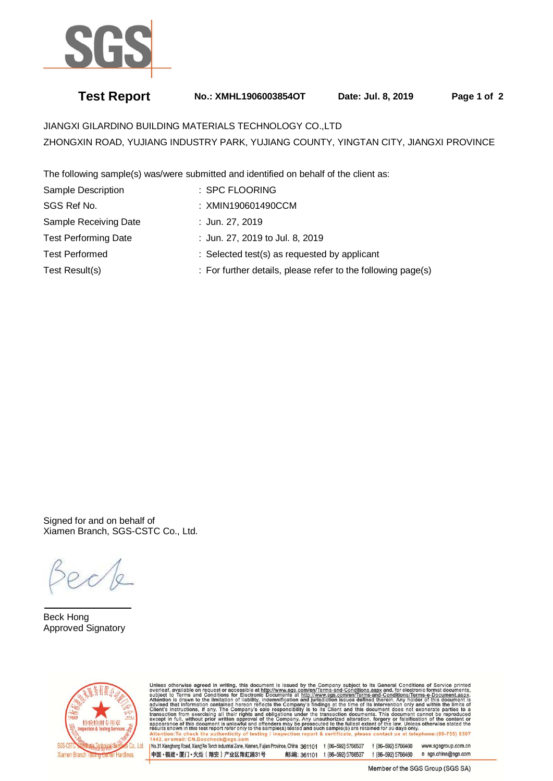

# **Test Report No.: XMHL1906003854OT Date: Jul. 8, 2019 Page 1 of 2**

JIANGXI GILARDINO BUILDING MATERIALS TECHNOLOGY CO.,LTD ZHONGXIN ROAD, YUJIANG INDUSTRY PARK, YUJIANG COUNTY, YINGTAN CITY, JIANGXI PROVINCE

The following sample(s) was/were submitted and identified on behalf of the client as:

| Sample Description          | : SPC FLOORING                                               |  |
|-----------------------------|--------------------------------------------------------------|--|
| SGS Ref No.                 | : XMIN190601490CCM                                           |  |
| Sample Receiving Date       | : Jun. 27, 2019                                              |  |
| <b>Test Performing Date</b> | : Jun. 27, 2019 to Jul. 8, 2019                              |  |
| <b>Test Performed</b>       | : Selected test(s) as requested by applicant                 |  |
| Test Result(s)              | : For further details, please refer to the following page(s) |  |

Signed for and on behalf of Xiamen Branch, SGS-CSTC Co., Ltd.

 $\overline{a}$ Beck Hong Approved Signatory



Unless otherwise agreed in writing, this document is issued by the Company subject to its General Conditions of Service printed<br>overleaf, available on request or accessible at http://www.sgs.com/en/Terms-and-Conditions.asp

No.31 Xianghong Road, Xiang An Torch Industrial Zone, Xiamen, Fujian Province, China 361101 t (86-592) 5766537 f (86-592) 5766460 www.sgsgroup.com.cn 中国·福建·厦门·火炬 (翔安) 产业区翔虹路31号 邮编: 361101 t (86-592) 5766537 f (86-592) 5766460 e sgs.china@sgs.com